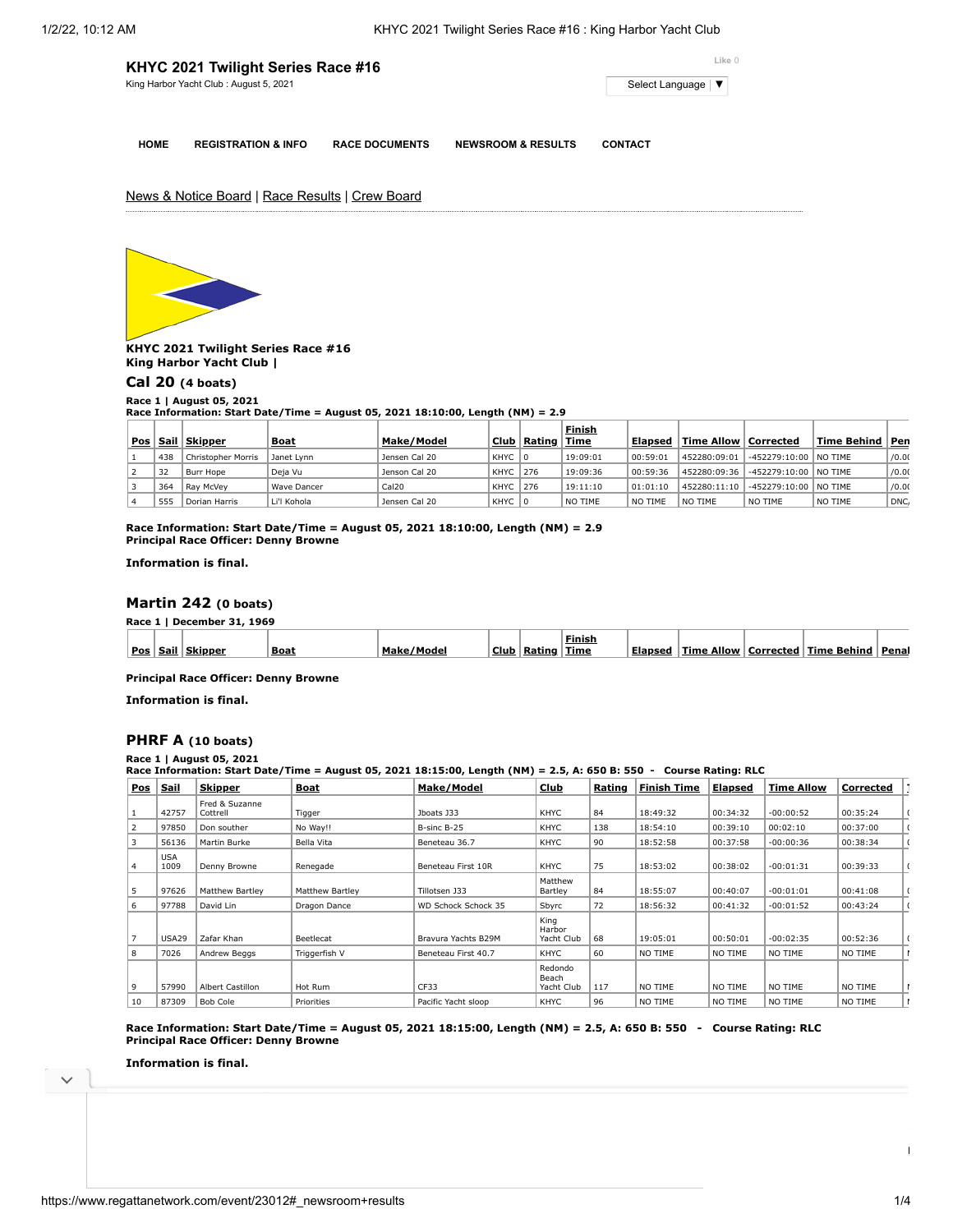| Like 0                                     |  |  |  |  |
|--------------------------------------------|--|--|--|--|
| Select Language $\vert \blacktriangledown$ |  |  |  |  |
|                                            |  |  |  |  |
|                                            |  |  |  |  |

**HOME REGISTRATION & INFO RACE DOCUMENTS NEWSROOM & RESULTS CONTACT**

News & Notice Board | Race Results | Crew Board



**KHYC 2021 Twilight Series Race #16 King Harbor Yacht Club |**

# **[Cal 20](https://www.regattanetwork.com/clubmgmt/applet_race_scores_khyc.php?regatta_id=23012&race_num=1) (4 boats)**

## **Race 1 | August 05, 2021**

**Race Information: Start Date/Time = August 05, 2021 18:10:00, Length (NM) = 2.9**

|     |     |                    |             |               |          |               | Finish   |          |                        |                         |                   |       |
|-----|-----|--------------------|-------------|---------------|----------|---------------|----------|----------|------------------------|-------------------------|-------------------|-------|
| Pos |     | Sail Skipper       | <b>Boat</b> | Make/Model    |          | Club   Rating | Time     | Elapsed  | Time Allow   Corrected |                         | Time Behind   Pen |       |
|     | 438 | Christopher Morris | Janet Lynn  | Jensen Cal 20 | KHYC 0   |               | 19:09:01 | 00:59:01 | 452280:09:01           | -452279:10:00   NO TIME |                   | /0.00 |
|     | 32  | Burr Hope          | Deja Vu     | Jenson Cal 20 | KHYC 276 |               | 19:09:36 | 00:59:36 | 452280:09:36           | +452279:10:00   NO TIME |                   | /0.00 |
|     | 364 | Rav McVev          | Wave Dancer | Cal20         | KHYC     | 276           | 19:11:10 | 01:01:10 | 452280:11:10           | -452279:10:00   NO TIME |                   | /0.00 |
|     | 555 | Dorian Harris      | Li'l Kohola | Jensen Cal 20 | KHYC 0   |               | NO TIME  | NO TIME  | NO TIME                | NO TIME                 | NO TIME           | DNC,  |

**Race Information: Start Date/Time = August 05, 2021 18:10:00, Length (NM) = 2.9 Principal Race Officer: Denny Browne**

**Information is final.**

## **[Martin 242](https://www.regattanetwork.com/clubmgmt/applet_race_scores_khyc.php?regatta_id=23012&race_num=1) (0 boats)**

**Race 1 | December 31, 1969**

|     |     |         |        |        |      |           | Finis.        |                    |     |      |      |
|-----|-----|---------|--------|--------|------|-----------|---------------|--------------------|-----|------|------|
| Pos | saı | Skinner | ' Boa. | <br>мa | Club | . .<br>ĸа | Time<br>----- | .<br>Allow<br>⊤ım⊾ | тег | Tıme | Pena |
|     |     |         |        |        |      |           |               |                    |     |      |      |

**Principal Race Officer: Denny Browne**

**Information is final.**

## **[PHRF A](https://www.regattanetwork.com/clubmgmt/applet_race_scores_khyc.php?regatta_id=23012&race_num=1) (10 boats)**

**Race 1 | August 05, 2021**

**Race Information: Start Date/Time = August 05, 2021 18:15:00, Length (NM) = 2.5, A: 650 B: 550 - Course Rating: RLC**

| <b>Pos</b> | <b>Sail</b>        | <b>Skipper</b>             | <b>Boat</b>     | Make/Model          | <b>Club</b>                    | Rating | <b>Finish Time</b> | <u>Elapsed</u> | <b>Time Allow</b> | <b>Corrected</b> |  |
|------------|--------------------|----------------------------|-----------------|---------------------|--------------------------------|--------|--------------------|----------------|-------------------|------------------|--|
|            | 42757              | Fred & Suzanne<br>Cottrell | Tigger          | Jboats J33          | KHYC                           | 84     | 18:49:32           | 00:34:32       | $-00:00:52$       | 00:35:24         |  |
| 2          | 97850              | Don souther                | No Wav!!        | B-sinc B-25         | KHYC                           | 138    | 18:54:10           | 00:39:10       | 00:02:10          | 00:37:00         |  |
| 3          | 56136              | Martin Burke               | Bella Vita      | Beneteau 36.7       | KHYC                           | 90     | 18:52:58           | 00:37:58       | $-00:00:36$       | 00:38:34         |  |
| 4          | <b>USA</b><br>1009 | Denny Browne               | Renegade        | Beneteau First 10R  | KHYC                           | 75     | 18:53:02           | 00:38:02       | $-00:01:31$       | 00:39:33         |  |
| 5          | 97626              | Matthew Bartley            | Matthew Bartley | Tillotsen J33       | Matthew<br>Bartley             | 84     | 18:55:07           | 00:40:07       | $-00:01:01$       | 00:41:08         |  |
| 6          | 97788              | David Lin                  | Dragon Dance    | WD Schock Schock 35 | Sbyrc                          | 72     | 18:56:32           | 00:41:32       | $-00:01:52$       | 00:43:24         |  |
|            | <b>USA29</b>       | Zafar Khan                 | Beetlecat       | Bravura Yachts B29M | King<br>Harbor<br>Yacht Club   | 68     | 19:05:01           | 00:50:01       | $-00:02:35$       | 00:52:36         |  |
| 8          | 7026               | Andrew Beggs               | Triggerfish V   | Beneteau First 40.7 | KHYC                           | 60     | NO TIME            | NO TIME        | NO TIME           | NO TIME          |  |
| 9          | 57990              | Albert Castillon           | Hot Rum         | CF33                | Redondo<br>Beach<br>Yacht Club | 117    | NO TIME            | NO TIME        | NO TIME           | NO TIME          |  |
| 10         | 87309              | Bob Cole                   | Priorities      | Pacific Yacht sloop | <b>KHYC</b>                    | 96     | NO TIME            | NO TIME        | NO TIME           | NO TIME          |  |

**Race Information: Start Date/Time = August 05, 2021 18:15:00, Length (NM) = 2.5, A: 650 B: 550 - Course Rating: RLC Principal Race Officer: Denny Browne**

**Information is final.**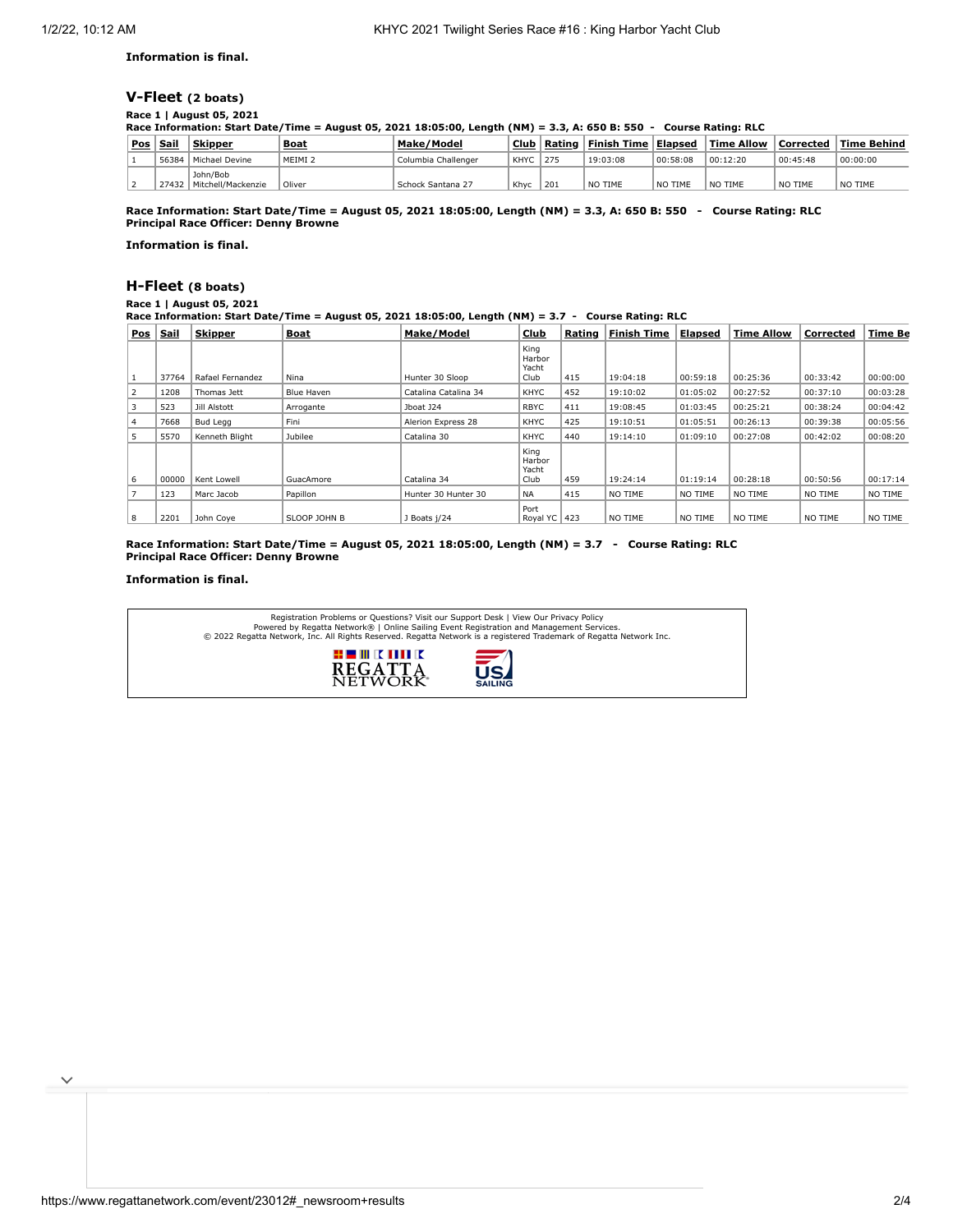### **Information is final.**

## **[V-Fleet](https://www.regattanetwork.com/clubmgmt/applet_race_scores_khyc.php?regatta_id=23012&race_num=1) (2 boats) Race 1 | August 05, 2021**

**Race Information: Start Date/Time = August 05, 2021 18:05:00, Length (NM) = 3.3, A: 650 B: 550 - Course Rating: RLC**

| Pos | Sail  | <b>Skipper</b>                              | <b>Boat</b>        | Make/Model          | Club | Rating | <b>Finish Time</b> | Elapsed  | Time Allow | Corrected | ∣Time Behind |
|-----|-------|---------------------------------------------|--------------------|---------------------|------|--------|--------------------|----------|------------|-----------|--------------|
|     | 56384 | Michael Devine                              | MEIMI <sub>2</sub> | Columbia Challenger | KHYC | 275    | 19:03:08           | 00:58:08 | 00:12:20   | 00:45:48  | 00:00:00     |
|     | 27432 | John/Bob<br><sup>1</sup> Mitchell/Mackenzie | Oliver             | Schock Santana 27   | Khyc | 201    | NO TIME            | NO TIME  | NO TIME    | NO TIME   | NO TIME      |

**Race Information: Start Date/Time = August 05, 2021 18:05:00, Length (NM) = 3.3, A: 650 B: 550 - Course Rating: RLC Principal Race Officer: Denny Browne**

**Information is final.**

## **[H-Fleet](https://www.regattanetwork.com/clubmgmt/applet_race_scores_khyc.php?regatta_id=23012&race_num=1) (8 boats)**

**Race 1 | August 05, 2021 Race Information: Start Date/Time = August 05, 2021 18:05:00, Length (NM) = 3.7 - Course Rating: RLC**

| <u>Pos</u> | Sail  | <u>Skipper</u>   | <b>Boat</b>  | Make/Model           | Club                            | Rating | <b>Finish Time</b> | <b>Elapsed</b> | <b>Time Allow</b> | Corrected | Time Be  |
|------------|-------|------------------|--------------|----------------------|---------------------------------|--------|--------------------|----------------|-------------------|-----------|----------|
|            | 37764 | Rafael Fernandez | Nina         | Hunter 30 Sloop      | King<br>Harbor<br>Yacht<br>Club | 415    | 19:04:18           | 00:59:18       | 00:25:36          | 00:33:42  | 00:00:00 |
|            |       |                  |              |                      |                                 |        |                    |                |                   |           |          |
| 2          | 1208  | Thomas Jett      | Blue Haven   | Catalina Catalina 34 | KHYC                            | 452    | 19:10:02           | 01:05:02       | 00:27:52          | 00:37:10  | 00:03:28 |
|            | 523   | Jill Alstott     | Arrogante    | Jboat J24            | <b>RBYC</b>                     | 411    | 19:08:45           | 01:03:45       | 00:25:21          | 00:38:24  | 00:04:42 |
|            | 7668  | <b>Bud Legg</b>  | Fini         | Alerion Express 28   | KHYC                            | 425    | 19:10:51           | 01:05:51       | 00:26:13          | 00:39:38  | 00:05:56 |
|            | 5570  | Kenneth Blight   | Jubilee      | Catalina 30          | KHYC                            | 440    | 19:14:10           | 01:09:10       | 00:27:08          | 00:42:02  | 00:08:20 |
| 6          | 00000 | Kent Lowell      | GuacAmore    | Catalina 34          | King<br>Harbor<br>Yacht<br>Club | 459    | 19:24:14           | 01:19:14       | 00:28:18          | 00:50:56  | 00:17:14 |
|            | 123   | Marc Jacob       | Papillon     | Hunter 30 Hunter 30  | <b>NA</b>                       | 415    | NO TIME            | NO TIME        | NO TIME           | NO TIME   | NO TIME  |
| 8          | 2201  | John Coye        | SLOOP JOHN B | J Boats j/24         | Port<br>Royal YC                | 423    | NO TIME            | NO TIME        | NO TIME           | NO TIME   | NO TIME  |

**Race Information: Start Date/Time = August 05, 2021 18:05:00, Length (NM) = 3.7 - Course Rating: RLC Principal Race Officer: Denny Browne**

## **Information is final.**

| Registration Problems or Questions? Visit our Support Desk   View Our Privacy Policy<br>Powered by Regatta Network®   Online Sailing Event Registration and Management Services.<br>© 2022 Regatta Network, Inc. All Rights Reserved. Regatta Network is a registered Trademark of Regatta Network Inc. |                                   |  |  |  |  |  |
|---------------------------------------------------------------------------------------------------------------------------------------------------------------------------------------------------------------------------------------------------------------------------------------------------------|-----------------------------------|--|--|--|--|--|
| # M KHIK<br><b>REGATTA</b><br>NETWORK                                                                                                                                                                                                                                                                   | $\overline{55}$<br><b>SAILING</b> |  |  |  |  |  |

 $\checkmark$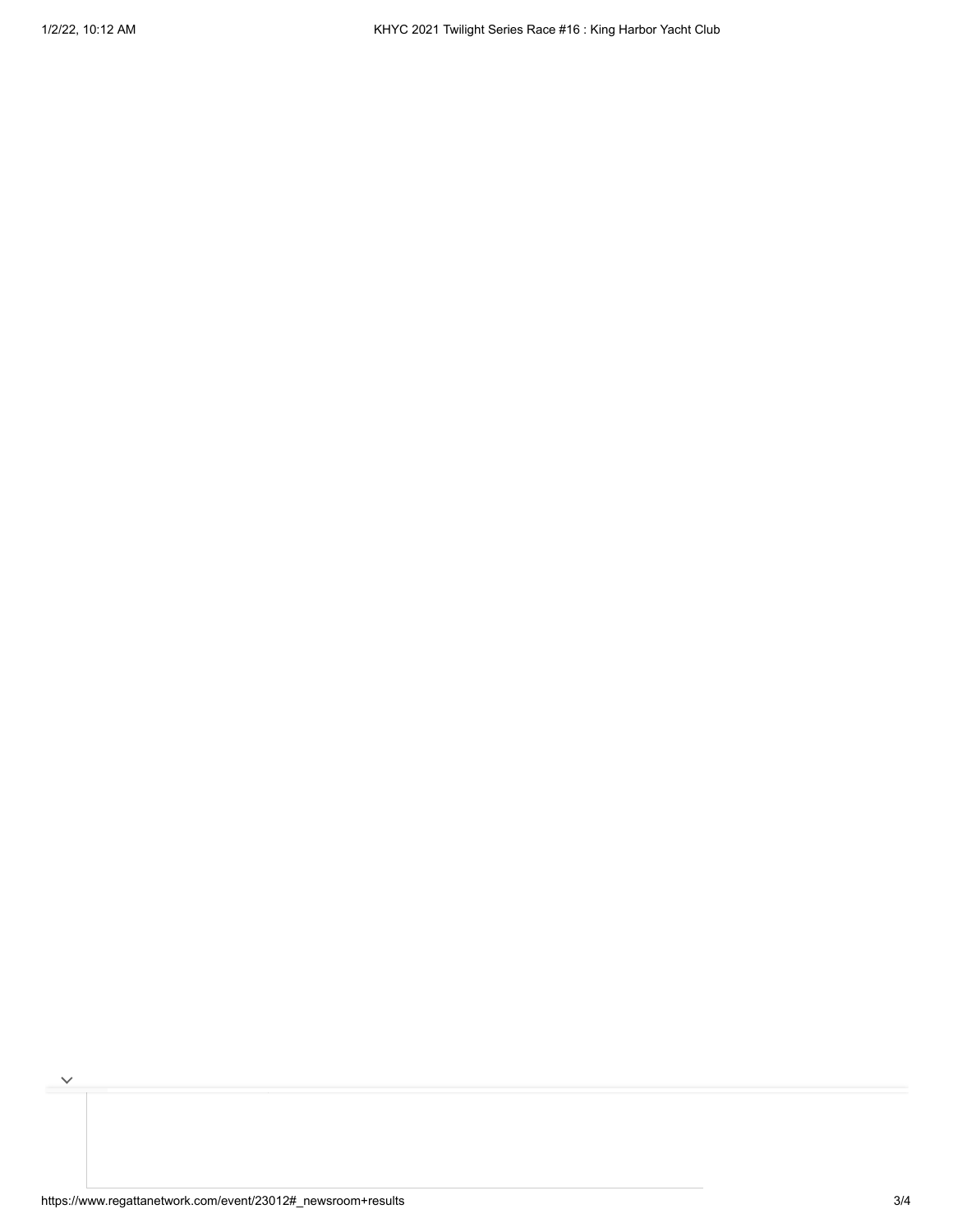$\vee$